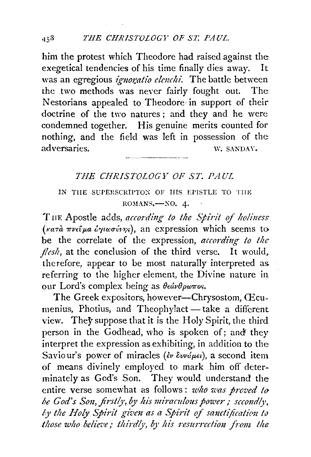him the protest which Theodore had raised against the exegetical tendencies of his time finally dies away. It was an egregious *ignoratio elenchi*. The battle between the two methods was never fairly fought out. The Nestorians appealed to Theodore in support of their doctrine of the two natures; and they and he were condemned together. His genuine merits counted for nothing, and the field was left in possession of the: adversaries. W. SANDAY.

## *THE CHRISTOLOGY OF ST. PAUL*

## IN THE SUPERSCRIPTON OF HIS EPISTLE TO THE  $ROMANS$ - $NO. 4.$

THE Apostle adds, *according to the Spirit of holiness* (Ka..-a *7rV£f:pa C..rytwtrvtJ?l<;),* an expression which seems to be the correlate of the expression, *according to the flesh*, at the conclusion of the third verse. It would, therefore, appear to be most naturally interpreted as referring to the higher element, the Divine nature in our Lord's complex being as *8€avBpw7ro<;.* 

The Greek expositors, however-Chrysostom, CEcumenius, Photius, and Theophylact- take a different view. They suppose that it is the Holy Spirit, the third person in the Godhead, who is spoken of; and they interpret the expression as exhibiting, in addition to the: Saviour's power of miracles ( $\epsilon \nu \delta \nu \omega \mu \epsilon \nu$ ), a second item of means divinely employed to mark him off determinately as God's Son. They would understand the entire verse somewhat as follows: *who was proved t{) be God's Son, firstly, by his miraculous power; sccondly, ly the Holy Spirit given as a Spirit of sanctification to* those who believe; thirdly, by his resurrection from the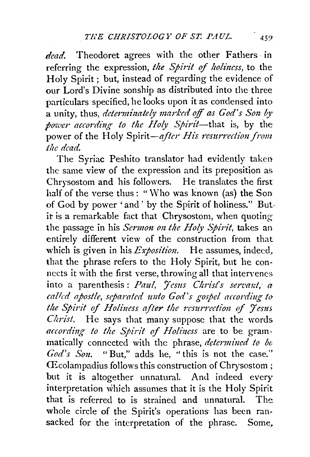dead. Theodoret agrees with the other Fathers in referring the expression, *the Spirit* of *holiuess,* to the Holy Spirit ; but, instead of regarding the evidence of our Lord's Divine sonship as distributed into the three particulars specified, he looks upon it as condensed into a unity, thus, *determinately marked off as God's Son by power according to the Holy Spirit*-that is, by the power of the Holy Spirit-after His resurrection from *the dead.* 

The Syriac Peshito translator had evidently taken the same view of the expression and its preposition as Chrysostom and his followers. He translates the first half of the verse thus: "Who was known (as) the Son of God by power 'and ' by the Spirit of holiness." Butit is a remarkable fact that Chrysostom, when quoting the passage in his *Sermon on the Holy Spirit*, takes an entirely different view of the construction from that which is given in his *Exposition*. He assumes, indeed, that the phrase refers to the Holy Spirit, but he connects it with the first verse, throwing all that intervenes. into a parenthesis: Paul, Jesus Christ's servant, a called apostle, separated unto God's gospel according to *the Spirit* of *Holi11ess after the resurrection* of *Jesus Christ.* He says that many suppose that the words according to the Spirit of Holiness are to be grammatically connected with the phrase, *determined to be*  God's Son. "But," adds he, "this is not the case." fficolampadius follows this construction of Chrysostom; but it is altogether unnatural. And indeed every interpretation which assumes that it is the Holy Spirit that is referred to is strained and unnatural. The whole circle of the Spirit's operations has been ransacked for the interpretation of the phrase. Some,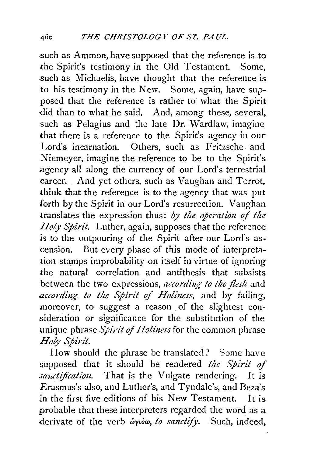such as Ammon, have supposed that the reference is to the Spirit's testimony in the Old Testament. Some, such as Michaelis, have thought that the reference is to his testimony in the New. Some, again, have supposed that the reference is rather to what the Spirit did than to what he said. And, among these, several, such as Pelagius and the late Dr. Wardlaw, imagine that there is a reference to the Spirit's agency in our Lord's incarnation. Others, such as Fritzsche and Niemeyer, imagine the reference to be to the Spirit's .agency all along the currency of our Lord's terrestrial career. And yet others, such as Vaughan and Terrot, think that the reference is to the agency that was put forth by the Spirit in our Lord's resurrection. Vaughan translates the expression thus: *by the operatiou of the Holy Spirit.* Luther, again, supposes that the reference is to the outpouring of the Spirit after our Lord's ascension. Dut every phase of this mode of interpretation stamps improbability on itself in virtue of ignoring the natural correlation and antithesis that subsists between the two expressions, according to the flesh and *according to the Spirit of Holiness,* and by failing, moreover, to suggest a reason of the slightest consideration or significance for the substitution of the unique phrase *Spirit of Holiness* for the common phrase *Holy Spirit.* 

How should the phrase be translated? Some have supposed that it should be rendered *the Spirit of sanctification*. That is the Vulgate rendering. It is Erasmus's also, and Luther's, and Tyndale's, and Beza's in the first five editions of his New Testament. It is probable that these interpreters regarded the word as a derivate of the verb  $\partial \phi$ *ion, to sanctify*. Such, indeed,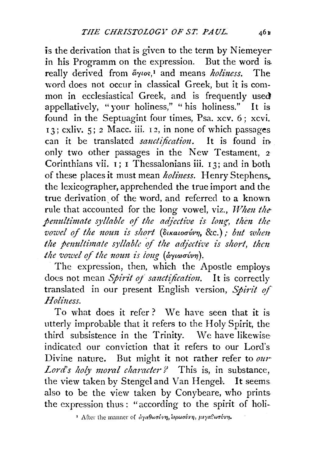is the derivation that is given to the term by Niemeyerin his Programm on the expression. But the word is, really derived from  $\tilde{a}\gamma\iota o\varsigma$ ,<sup>1</sup> and means *holiness*. The word does not occur in classical Greek, but it is common in ecclesiastical Greek, and is frequently used appellatively, "your holiness," " his holiness." It is found in the Septuagint four times, Psa. xcv. 6 ; xcvi. 13; cxliv. 5; *2* Mace. iii. I 2, in none of which passages can it be translated *sanctification*. It is found in only two other passages in the New Testament, <sup>2</sup> Corinthians vii.  $\overline{1}$ : I Thessalonians iii. 13; and in both of these places it must mean *holiness*. Henry Stephens. the lexicographer, apprehended the true import and the true derivation of the word, and referred to a known rule that accounted for the long vowel, viz., *When the*penultimate syllable of the adjective is long, then the *vowel of the noun is short (disaloovvn, &c.); but when the penultimate syllable of the adjective is short, then the vowel of the noun is long (arytorivn).* 

The expression, then, which the Apostle employs does not mean *Spirit of sanctification*. It is correctly translated in our present English version, *Spirit of Holi11ess.* 

To what does it refer? We have seen that it is utterly improbable that it refers to the Holy Spirit, the third subsistence in the Trinity. We have likewise indicated our conviction that it refers to our Lord's Divine nature. But might it not rather refer to *mw Lord's holy moral character?* This is, in substance, the view taken by Stengel and Van Hengel. It seems also to be the view taken by Conybeare, who printsthe expression thus : "according to the spirit of holi-

<sup>&</sup>lt;sup>1</sup> After the manner of αγαθωσύνη, ιερωσύνη, μεγαθωσύνη.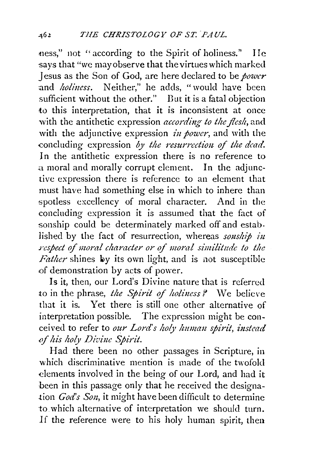ness," not "according to the Spirit of holiness." IIe says that "we may observe that the virtues which marked Jesus as the Son of God, are here declared to be *power*  and *holiness*. Neither," he adds, "would have been sufficient without the other." But it is a fatal objection to this interpretation, that it is inconsistent at once with the antithetic expression *according to the flesh*, and with the adjunctive expression *in power*, and with the -concluding expression *by the resurrection of the dead.* In the antithetic expression there is no reference to a moral and morally corrupt element. In the adjunctive expression there is reference to an element that must have had something else in which to inhere than spotless excellency of moral character. And in the concluding expression it is assumed that the fact of sonship could be determinately marked off and estab. lished by the fact of resurrection, whereas *sonship in*  $s$ *respect of moral character or of moral similitude to the Father* shines by its own light, and is not susceptible of demonstration by acts of power.

Is it, then, our Lord's Divine nature that is referred to in the phrase, *the Spirit of holiness?* We believe that it is. Yet there is still one other alternative of interpretation possible. The expression might be conceived to refer to our Lord's holy human spirit, instead of his holy Divine Spirit.

Had there been no other passages in Scripture, in which discriminative mention is made of the twofold elements involved in the being of our Lord, and had it been in this passage only that he received the designa tion *God's Son*, it might have been difficult to determine to which alternative of interpretation we should turn. lf the reference were to his holy human spirit, then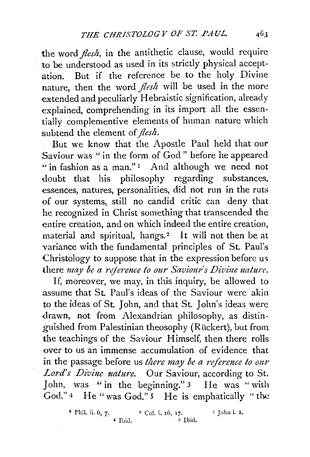the word *flesh*, in the antithetic clause, would require to be understood as used in its strictly physical acceptation. But if the reference be to the holy Divine nature, then the word *flesh* will be used in the more extended and peculiarly Hebraistic signification, already explained, comprehending in its import all the essentially complementive elements of human nature which subtend the element of *flesh.* 

But we know that the Apostle Paul held that our Saviour was " in the form of God " before he appeared "in fashion as a man."<sup>1</sup> And although we need not doubt that his philosophy regarding substances, essences, natures, personalities, did not run in the ruts of our systems, still no candid critic can deny that he recognized in Christ something that transcended the entire creation, and on which indeed the entire creation, material and spiritual, hangs.<sup>2</sup> It will not then be at variance with the fundamental principles of St. Paul's Christology to suppose that in the expression before us there *may be a reference to our Saviour's Divine nature*.

If, moreover, we may, in this inquiry, be allowed to assume that St. Paul's ideas of the Saviour were akin to the ideas of St. John, and that St. John's ideas were drawn, not from Alexandrian philosophy, as distinguished from Palestinian theosophy (Ruckert), but from the teachings of the Saviour Himself, then there rolls over to us an immense accumulation of evidence that in the passage before us *there may be a reference to our* Lord's Divine nature. Our Saviour, according to St. John, was " in the beginning." 3 He was "with God." 4 He "was God." 5 He is emphatically " the

<sup>&</sup>lt;sup>1</sup> Phil. ii.  $6, 7$ .  $\degree$  Col. i. 16, 17.  $\degree$  John i. 1.  $\bullet$  Ibid.  $\qquad \qquad$   $\bullet$  Ibid.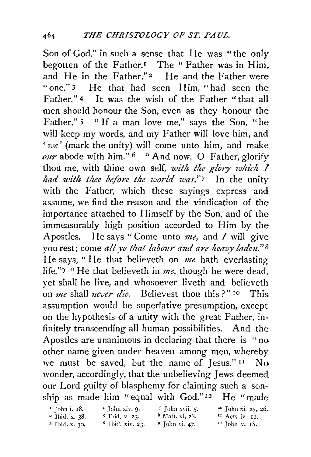Son of God," in such a sense that He was "the only begotten of the Father.<sup> $I$ </sup> The "Father was in Him, and He in the Father."<sup>2</sup> He and the Father were "one." 3 He that had seen Him, "had seen the Father." 4 It was the wish of the Father "that all men should honour the Son, even as they honour the Father." 5 " If a man love me," says the Son, "he will keep my words, and my Father will love him, and *'·we'* (mark the unity) will come unto him, and make *our* abode with him." 6 *r•* And now, 0 Father, glorify thou me, with thine own self, *with the glory which*  $I$ *had with thee before the world was.*"7 In the unity with the Father, which these sayings express and assume, we find the reason and the vindication of the importance attached to Himself by the Son, and of the immeasurably high position accorded to Him by the Apostles. He says "Come unto *me,* and *I* will give you rest; come all ye that labour and are heavy laden."<sup>8</sup> He says, "He that believeth on *me* hath everlasting life."9 "He that believeth in *me,* though he were dead, yet shall he live, and whosoever liveth and believeth on *me* shall *never die*. Believest thou this ?" <sup>10</sup> This assumption would be superlative presumption, except on the hypothesis of a unity with the great Father, infinitely transcending all human possibilities. And the Apostles are unanimous in declaring that there is "no other name given under heaven among men, whereby we must be saved, but the name of  $Iess."$ <sup>II</sup> No wonder, accordingly, that the unbelieving Jews deemed our Lord guilty of blasphemy for claiming such a sonship as made him "equal with God."<sup>12</sup> He "made

| $\cdot$ Tohn i. 18.        | $4$ John xiv. 9.    | 7 John xvii. 5.            | $^{10}$ John xi, 25, 26.  |
|----------------------------|---------------------|----------------------------|---------------------------|
| $2$ Ibid. x. 38.           | $5$ Ibid, v, 23.    | <sup>8</sup> Matt. xi, 23. | $\mathbf{H}$ Acts iv. 12. |
| $\frac{3}{2}$ Ibid. x. 30. | $^6$ Ibid. xiv. 23. | $9$ John vi. 47.           | $12$ John v. 18.          |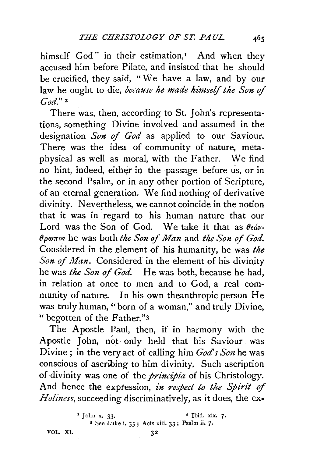himself God" in their estimation,<sup>1</sup> And when they accused him before Pilate, and insisted that he should be crucified, they said, "We have a law, and by our law he ought to die, *because he made himself the Son of God." <sup>2</sup>*

There was, then, according to St. John's representations, something Divine involved and assumed in the designation *Son of God* as applied to our Saviour. There was the idea of community of nature, metaphysical as well as moral, with the Father. We find no hint, indeed, either in the passage before us, or in the second Psalm, or in any other portion of Scripture, of an eternal generation. We find nothing of derivative divinity. Nevertheless, we cannot coincide in the notion that it was in regard to his human nature that our Lord was the Son of God. We take it that as  $\theta \epsilon \dot{\omega}$ .  $\theta$ *p*<sup>aros</sup> he was both *the Son of Man* and *the Son of God.* Considered in the element of his humanity, he was *the Son of Man.* Considered in the element of his divinity he was *the Son of God.* He was both, because he had, in relation at once to men and to God, a real community of nature. In his own theanthropic person He was truly human, "born of a woman," and truly Divine, "begotten of the Father."3

The Apostle Paul, then, if in harmony with the Apostle John, not only held that his Saviour was Divine; in the very act of calling him *God's Son* he was conscious of ascribing to him divinity. Such ascription of divinity was one of the *principia* of his Christology. And hence the expression, *in respect to the Spirit of Holiness,* succeeding discriminatively, as it does, the ex-

VOL. XI. 32

<sup>&</sup>lt;sup>1</sup> John x. 33. <sup>2</sup> Ibid. xix. 7. 3 See Luke i. 35; Acts xiii. 33; Psalm ii. *7·*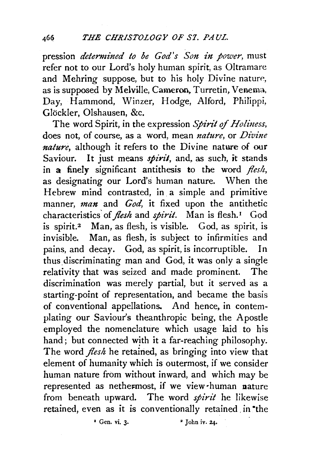pression *determined to be God's Son in power,* must refer not to our Lord's holy human spirit, as Oltramare and Mehring suppose, but to his holy Divine nature, as is supposed by Melville, Cameron, Turretin, Venema, Day, Hammond, Winzer, Hodge, Alford, Philippi, Glockler, Olshausen, &c.

The word Spirit, in the expression *Spirit of Holiness*, does not, of course, as a word, mean *nature,* or *Divine nature,* although it refers to the Divine nature of our Saviour. It just means *spirit*, and, as such, it stands in a finely significant antithesis to the word *flesh,*  as designating our Lord's human nature. When the Hebrew mind contrasted, in. a simple and primitive manner, *man* and *God,* it fixed upon the antithetic characteristics' of *flesh* and *spirit.* Man is flesh. 1 God is spirit.<sup>2</sup> Man, as flesh, is visible. God, as spirit, is invisible. Man, as flesh, is subject to infirmities and pains, and decay. God, as spirit, is incorruptible. In thus discriminating man and God, it was only a single relativity that was seized and made prominent. The discrimination was merely partial, but it served as a starting-point of representation, and became the basis of conventional appellations. And hence, in contemplating our Saviour's theanthropic being, the Apostle employed the nomenclature which usage laid to his hand; but connected with it a far-reaching philosophy. The word *flesh* he retained, as bringing into view that element of humanity which is outermost, if we consider human nature from without inward, and which may be represented as nethermost, if we view-human nature from beneath upward. The word *spirit* he likewise retained, even as it is conventionally retained in the

 $\overline{1}$  Gen. vi. 3.  $\overline{3}$   $\overline{1}$   $\overline{2}$   $\overline{1}$   $\overline{2}$   $\overline{1}$   $\overline{2}$   $\overline{1}$   $\overline{2}$   $\overline{2}$   $\overline{2}$   $\overline{2}$   $\overline{2}$   $\overline{2}$   $\overline{2}$   $\overline{2}$   $\overline{2}$   $\overline{2}$   $\overline{2}$   $\overline{2}$   $\overline{2}$   $\overline{2}$   $\$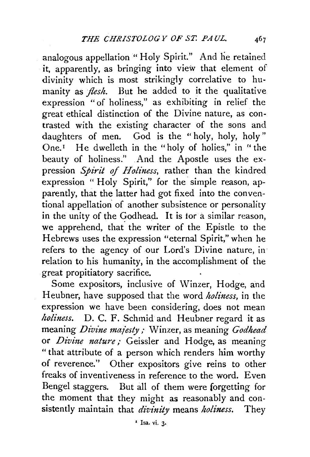analogous appellation "Holy Spirit." And he retained it, apparently, as bringing into view that element of divinity which is most strikingly correlative to humanity as *flesh.* But he added to it the qualitative expression "of holiness," as exhibiting in relief the great ethical distinction of the Divine nature, as contrasted with the existing character of the sons and daughters of men. God is the "holy, holy, holy" One.<sup>1</sup> He dwelleth in the "holy of holies," in "the beauty of holiness." And the Apostle uses the expression *Spirit of Holiness,* rather than the kindred expression "Holy Spirit," for the simple reason, apparently, that the latter had got fixed into the conventional appellation' of another subsistence or personality in the unity of the Godhead. It is tor a similar reason, we apprehend, that the writer of the Epistle to the Hebrews uses the expression "eternal Spirit," when he refers to the agency of our Lord's Divine nature, in relation to his humanity, in the accomplishment of the great propitiatory sacrifice.

Some expositors, inclusive of Winzer, Hodge, and Heubner, have supposed that the word *holiness,* in the expression we have been considering, does not mean *holiness.* D. C. F. Schmid and Heubner regard it as meaning *Divine majesty*; Winzer, as meaning *Godhead* or *Divine nature*; Geissler and Hodge, as meaning "that attribute of a person which renders him worthy of reverence." Other expositors give reins to other freaks of inventiveness in reference to the word. Even Bengel staggers. But all of them were forgetting for the moment that they might as reasonably and consistently maintain that *diz:inity* means *holiness.* They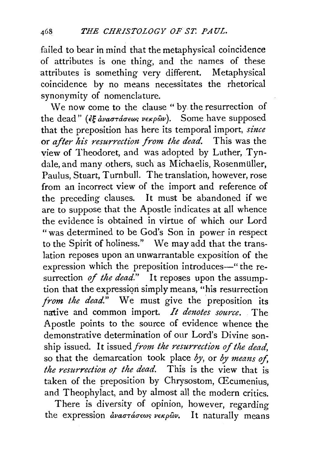failed to bear in mind that the metaphysical coincidence of attributes is one thing, and the names of these attributes is something very different. Metaphysical coincidence by no means necessitates the rhetorical synonymity of nomenclature.

We now come to the clause " by the resurrection of the dead" ( $\xi \hat{\xi}$  avao $\tau$ do $\epsilon \omega s$  verpoov). Some have supposed that the preposition has here its temporal import, *since*  or *after his resurrection from the dead.* This was the view of Theodoret, and was adopted by Luther, Tyndale, and many others, such as Michaelis, Rosenmüller, Paulus, Stuart, Turnbull. The translation, however, rose from an incorrect view of the import and reference of the preceding clauses. It must be abandoned if we are to suppose that the Apostle indicates at all whence the evidence is obtained in virtue of which our Lord "was determined to be God's Son in power in respect to the Spirit of holiness." We may add that the translation reposes upon an unwarrantable exposition of the expression which the preposition introduces-" the resurrection *of the dead.*" It reposes upon the assumption that the expression simply means, "his resurrection *from the dead.*" We must give the preposition its native and common import. *It denotes source.* The Apostle points to the source of evidence whence the demonstrative determination of our Lord's Divine sonship issued. It issued *from the resurrection of the dead,*  so that the demarcation took place by, or by means of, *the resurrection of the dead.* This is the view that is taken of the preposition by Chrysostom, Œcumenius, and Theophylact, and by almost all the modern critics.

There is diversity of opinion, however, regarding the expression  $\frac{\partial u}{\partial \sigma}$   $\frac{\partial u}{\partial \sigma}$   $\frac{\partial v}{\partial \sigma}$   $\frac{\partial v}{\partial \sigma}$ . It naturally means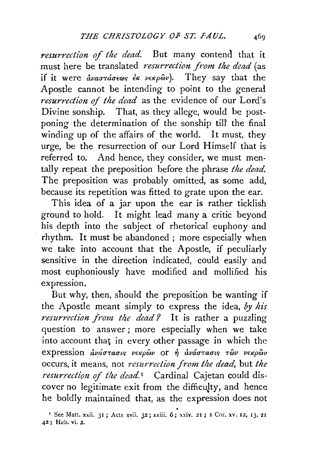*resurrection of the dead.* But many contend that it must here be translated *resurrection from the dead* (as if it were  $\partial \nu a \sigma \tau d \sigma \epsilon \omega s \ \partial \kappa \ \nu \epsilon \kappa \rho \omega \omega$ . They say that the Apostle cannot be intending to point to the general *resurrection of the dead* as the evidence of our Lord's Divine sonship. That, as they allege, would be postponing the determination of the sonship till' the final winding up of the affairs of the world. It must, they urge, be the resurrection of our Lord Himself that is referred to. And hence, they consider, we must mentally repeat the preposition before the phrase *the dead.*  The preposition was probably omitted, as some add, because its repetition was fitted to grate upon the ear.

This idea of a jar upon the ear is rather ticklish ground to hold. It might lead many a critic beyond his depth into the subject of rhetorical euphony and rhythm. It must be abandoned; more especially when we take into account that the Apostle, if peculiarly sensitive in the direction indicated, could easily and most euphoniously have modified and mollified .his expression.

But why, then, should the preposition be wanting if the Apostle meant simply to express the idea, *by his resurrection from the dead?* It is rather a puzzling question to answer ; more especially when we take into account that in every other passage in which the expression ανάστασις νεκρών or ή ανάστασις των νεκρών occurs, it means, not *resurrection .from the dead,* but *the resurrection of the dead.<sup>1</sup>* Cardinal Cajetan could discover no legitimate exit from the difficulty, and hence he boldly maintained that, as the expression does not  $\cdot$  See Matt. xxii. 31; Acts xvii. 32; xxiii. 6; xxiv. 21; I Cor. xv. 12, 13, 21

<sup>42;</sup> Heb. vi. 2.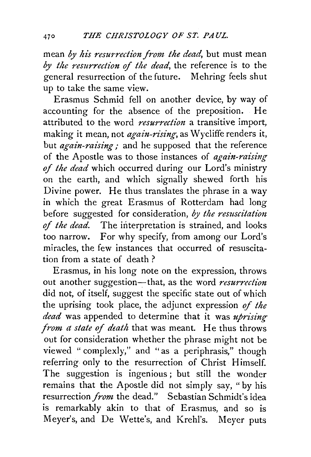mean *by his resurrection from the dead*, but must mean *by the nsurrection* of *the dead,* the reference is to the general resurrection of the future. Mehring feels shut up to take the same view.

Erasmus Schmid fell on another device, by way of accounting for the absence of the preposition. He attributed to the word *resurrection* a transitive import, making it mean, not *again-rising*, as Wycliffe renders it, but *again-raising*; and he supposed that the reference of the Apostle was to those instances of *again-raising of the dead* which occurred during our Lord's ministry on the earth, and which signally shewed forth his Divine power. He thus translates the phrase in a way in which the great Erasmus of Rotterdam had long before suggested for consideration, by the resuscitation of *the dead.* The interpretation is strained, and looks too narrow. For why specify, from among our Lord's miracles, the few instances that occurred of resuscitation from a state of death ?

Erasmus, in his long note on the expression, throws out another suggestion-that, as the word *resurrection* did not, of itself, suggest the specific state out of which the uprising took place, the adjunct expression of *the dead* was appended to determine that it was *uprising from a state of death* that was meant. He thus throws out for consideration whether the phrase might not be viewed " complexly," and "as a periphrasis," though referring only to the resurrection of Christ Himself. The suggestion is ingenious; but still the wonder remains that the Apostle did not simply say, "by his resurrection *from* the dead." Sebastian Schmidt's idea is remarkably akin to that of Erasmus, and so is Meyer's, and De Wette's, and Krehl's. Meyer puts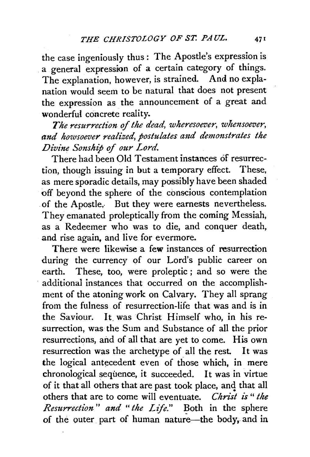the case ingeniously thus : The Apostle's expression is a general expression of a certain category of things. The explanation, however, is strained. And no explanation would seem to be natural that does not present the expression as the announcement of a great and wonderful concrete reality.

*The resurrection of the dead, wheresoever, whensoever, and howsoever realized, postulates ami dem01zstrates the Divine Sonship* of *our Lord.* 

There had been Old Testament instances of resurrection, though issuing in hut a temporary effect. These, as mere sporadic details, may possibly have been shaded off beyond the sphere of the conscious contemplation . of the Apostle., But they were earnests nevertheless. They emanated proleptically from the coming Messiah, as a Redeemer who was to die, and conquer death, and rise again, and live for evermore.

There were likewise a few instances of resurrection during the currency of our Lord's public career on earth. These, too, were proleptic ; and so were the additional instances that occurred on the accomplishment of the atoning work on Calvary. They all sprang from the fulness of resurrection-life that was and is in the Saviour. It, was Christ Himself who, in his resurrection, was the Sum and Substance of all the prior resurrections, and of all that are yet to come. His own resurrection was the archetype of all the rest. It was the logical antecedent even of those which, in mere chronological sequence, it succeeded. It was in virtue of it that all others that are past took place, and that all others that are to come will eventuate. *Christ is* " *the Resurrection" and "the Life."* Both in the sphere of the outer part of human nature-the body, and in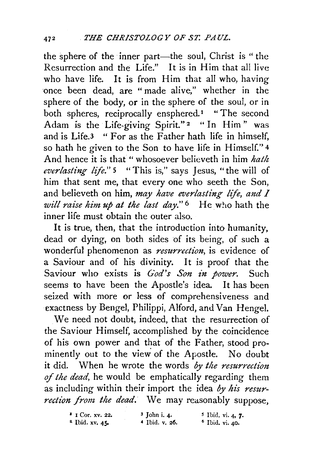the sphere of the inner part-the soul, Christ is " the Resurrection and the Life." It is in Him that all live who have life. It is from Him that all who, having once been dead, are " made alive," whether in the sphere of the body, or in the sphere of the soul, or in both spheres, reciprocally ensphered.<sup>1</sup> "The second Adam is the Life-giving Spirit."<sup>2</sup> " In Him" was and is Life.3 " For as the Father hath life in himself, so hath he given to the Son to have life in Himself." 4 And hence it is that " whosoever believeth in him *hath everlasting life."* 5 "This is," says Jesus, "the will of him that sent me, that every one who seeth the Son, and believeth on him, *may have everlasting life, and I will raise him up at the last day."* 6 He who hath the inner life must obtain the outer also.

It is true, then, that the introduction into humanity, dead or dying, on both sides of its being, of such a wonderful phenomenon as *resurrection,* is evidence of a Saviour and of his divinity. It is proof that the Saviour who exists is *God's Son in power*. Such seems to have been the Apostle's idea. It has been seized with more or less of comprehensiveness and exactness by Bengel, Philippi, Alford, and Van Hengel.

We need not doubt, indeed, that the resurrection of the Saviour Himself, accomplished by the coincidence of his own power and that of the Father, stood prominently out to the view of the Apostle. No doubt it did. When he wrote the words *by the resurrection of the dead,* he would be emphatically regarding them as including within their import the idea *oy his resurrection from the dead.* We may reasonably suppose,

| $\cdot$ I Cor. xv. 22.       | $3$ John i. 4.   | $\frac{5}{7}$ Ibid. vi. 4, 7. |
|------------------------------|------------------|-------------------------------|
| $4\frac{1}{2}$ Ibid. xv. 45. | $4$ Ibid. v. 26. | $^6$ Ibid. vi. 40.            |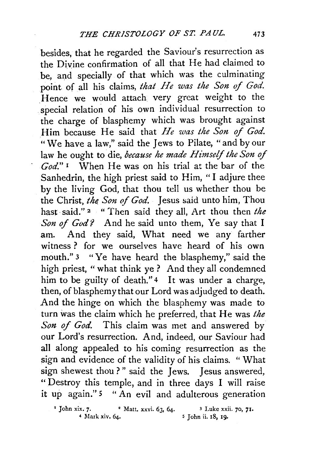besides, that he regarded the Saviour's resurrection as the Divine confirmation of all that He had claimed to be, and specially of that which was the culminating point of all his claims, *that He was the Son of God*. Hence we would attach very great weight to the special relation of his own individual resurrection to the charge of blasphemy which was brought against Him because He said that *He was the Son* of *God.*  "We have a law," said the Jews to Pilate, "and by our law he ought to die, *because he made Himself the Son* of *God."* 1 When He was on his trial at the bar of the Sanhedrin, the high priest said to Him, "I adjure thee by the living God, that thou tell us whether thou be the Christ, *the. Son* of *God.* Jesus said unto him, Thou hast said."<sup>2</sup> " Then said they all, Art thou then *the* Son of God? And he said unto them, Ye say that I am. And they said, What need we any farther witness ? for we ourselves have heard of his own mouth." 3 "Ye have heard the blasphemy," said the high priest, "what think ye ? And they all condemned him to be guilty of death."<sup>4</sup> It was under a charge, then, of blasphemy that our Lord was adjudged to death. And the hinge on which the blasphemy was made to turn was the claim which he preferred, that He was *the Son of God.* This claim was met and answered by our Lord's resurrection. And, indeed, our Saviour had all along appealed to his coming resurrection as the sign and evidence of the validity of his claims. " What sign shewest thou?" said the Jews. Jesus answered, "Destroy this temple, and in three days I will raise it up again."<sup>5</sup> "An evil and adulterous generation

*<sup>•</sup>* John xix. 7· • Matt. xxvi. 63, 64. *3* Luke xxii. 70, 71· 5 John ii. 18, 19.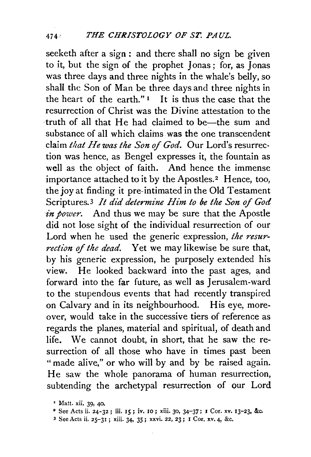seeketh after a sign : and there shall no sign be given to it, but the sign of the prophet Jonas; for, as Jonas was three days and three nights in the whale's belly, so shall the Son of Man be three days and three nights in the heart of the earth." $\frac{1}{1}$  It is thus the case that the resurrection of Christ was the Divine attestation to the truth of all that He had claimed to be-the sum and substance of all which claims was the one transcendent claim *that He was the Son* of *God.* Our Lord's resurrection was hence, as Bengel expresses it, the fountain as well as the object of faith. And hence the immense importance attached to it by the Apostles.<sup>2</sup> Hence, too, the joy at finding it pre-intimated in the Old Testament Scriptures.<sup>3</sup> *It did determine Him to be the Son of God in power.* And thus we may be sure that the Apostle did not lose sight of the individual resurrection of our Lord when he used the generic expression, *the resurrection of the dead.* Yet we may likewise be sure that, by his generic expression, he purposely extended his view. He looked backward into the past ages, and forward into the far future, as well as Jerusalem-ward to the stupendous events that had recently transpired on Calvary and in its neighbourhood. His eye, moreover, would take in the successive tiers of reference as regards the planes, material and spiritual, of death and life. We cannot doubt, in short, that he saw the resurrection of all those who have in times past been "made alive," or who will by and by be raised again. He saw the whole panorama of human resurrection, subtending the archetypal resurrection of our Lord

3 See Acts ii. 25-31 ; xiii. 34. 35; xxvi. 22, 23; I Cor. xv. 4, &c.

*<sup>&#</sup>x27;* Matt. xii. 39, 40.

<sup>&</sup>lt;sup>2</sup> See Acts ii. 24-32; iii. 15; iv. 10; xiii. 30, 34-37; I Cor. xv. 13-23, &c.